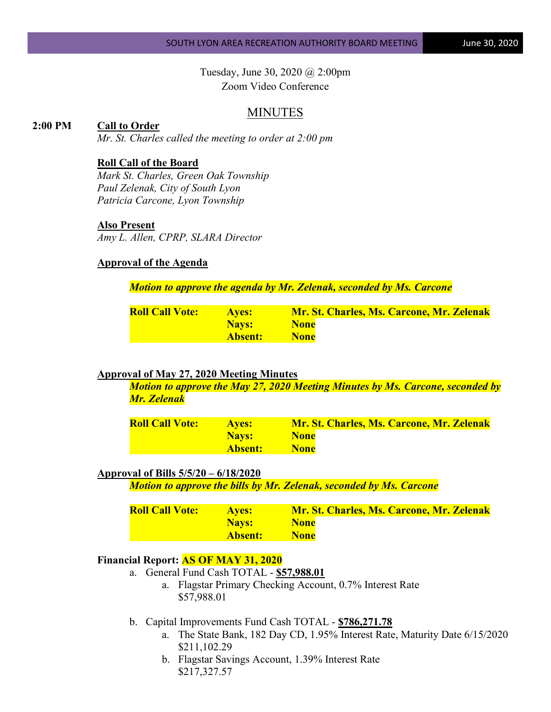Tuesday, June 30, 2020 @ 2:00pm Zoom Video Conference

# MINUTES

### **2:00 PM Call to Order**

*Mr. St. Charles called the meeting to order at 2:00 pm*

### **Roll Call of the Board**

*Mark St. Charles, Green Oak Township Paul Zelenak, City of South Lyon Patricia Carcone, Lyon Township*

#### **Also Present**

*Amy L. Allen, CPRP, SLARA Director*

## **Approval of the Agenda**

*Motion to approve the agenda by Mr. Zelenak, seconded by Ms. Carcone*

| <b>Roll Call Vote:</b> | <b>Aves:</b> | <b>Mr. St. Charles, Ms. Carcone, Mr. Zelenak</b> |  |
|------------------------|--------------|--------------------------------------------------|--|
|                        | <b>Navs:</b> | <b>None</b>                                      |  |
|                        | Absent:      | <b>None</b>                                      |  |

### **Approval of May 27, 2020 Meeting Minutes**

*Motion to approve the May 27, 2020 Meeting Minutes by Ms. Carcone, seconded by Mr. Zelenak*

| <b>Roll Call Vote:</b> | <b>Aves:</b> | <b>Mr. St. Charles, Ms. Carcone, Mr. Zelenak</b> |  |
|------------------------|--------------|--------------------------------------------------|--|
|                        | <b>Navs:</b> | <b>None</b>                                      |  |
|                        | Absent:      | <b>None</b>                                      |  |

#### **Approval of Bills 5/5/20 – 6/18/2020**

*Motion to approve the bills by Mr. Zelenak, seconded by Ms. Carcone*

| <b>Roll Call Vote:</b> | <b>Aves:</b> | Mr. St. Charles, Ms. Carcone, Mr. Zelenak |
|------------------------|--------------|-------------------------------------------|
|                        | <b>Navs:</b> | <b>None</b>                               |
|                        | Absent:      | <b>None</b>                               |

### **Financial Report: AS OF MAY 31, 2020**

- a. General Fund Cash TOTAL **\$57,988.01**
	- a. Flagstar Primary Checking Account, 0.7% Interest Rate \$57,988.01
- b. Capital Improvements Fund Cash TOTAL **\$786,271.78**
	- a. The State Bank, 182 Day CD, 1.95% Interest Rate, Maturity Date 6/15/2020 \$211,102.29
	- b. Flagstar Savings Account, 1.39% Interest Rate \$217,327.57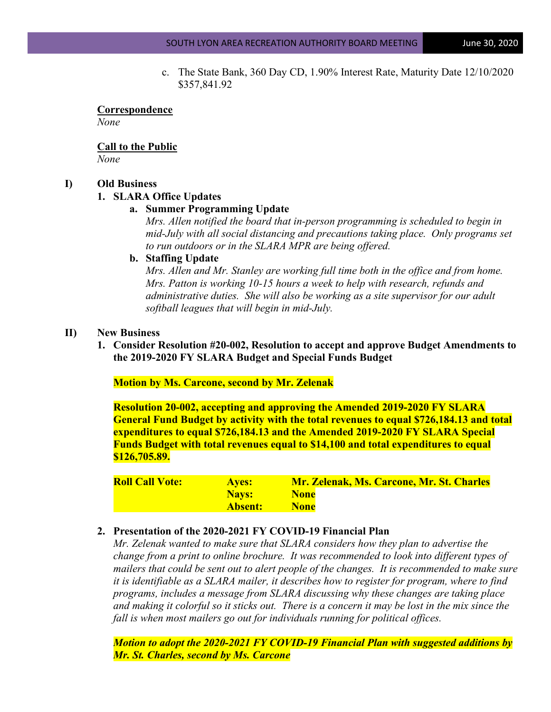c. The State Bank, 360 Day CD, 1.90% Interest Rate, Maturity Date 12/10/2020 \$357,841.92

#### **Correspondence** *None*

# **Call to the Public**

*None*

## **I) Old Business**

## **1. SLARA Office Updates**

## **a. Summer Programming Update**

*Mrs. Allen notified the board that in-person programming is scheduled to begin in mid-July with all social distancing and precautions taking place. Only programs set to run outdoors or in the SLARA MPR are being offered.* 

## **b. Staffing Update**

*Mrs. Allen and Mr. Stanley are working full time both in the office and from home. Mrs. Patton is working 10-15 hours a week to help with research, refunds and administrative duties. She will also be working as a site supervisor for our adult softball leagues that will begin in mid-July.*

## **II) New Business**

**1. Consider Resolution #20-002, Resolution to accept and approve Budget Amendments to the 2019-2020 FY SLARA Budget and Special Funds Budget**

**Motion by Ms. Carcone, second by Mr. Zelenak**

**Resolution 20-002, accepting and approving the Amended 2019-2020 FY SLARA General Fund Budget by activity with the total revenues to equal \$726,184.13 and total expenditures to equal \$726,184.13 and the Amended 2019-2020 FY SLARA Special Funds Budget with total revenues equal to \$14,100 and total expenditures to equal \$126,705.89.**

| <b>Roll Call Vote:</b> | <b>Ayes:</b> | <b>Mr. Zelenak, Ms. Carcone, Mr. St. Charles</b> |
|------------------------|--------------|--------------------------------------------------|
|                        | <b>Navs:</b> | <b>None</b>                                      |
|                        | Absent:      | <b>None</b>                                      |

## **2. Presentation of the 2020-2021 FY COVID-19 Financial Plan**

*Mr. Zelenak wanted to make sure that SLARA considers how they plan to advertise the change from a print to online brochure. It was recommended to look into different types of mailers that could be sent out to alert people of the changes. It is recommended to make sure it is identifiable as a SLARA mailer, it describes how to register for program, where to find programs, includes a message from SLARA discussing why these changes are taking place and making it colorful so it sticks out. There is a concern it may be lost in the mix since the fall is when most mailers go out for individuals running for political offices.*

*Motion to adopt the 2020-2021 FY COVID-19 Financial Plan with suggested additions by Mr. St. Charles, second by Ms. Carcone*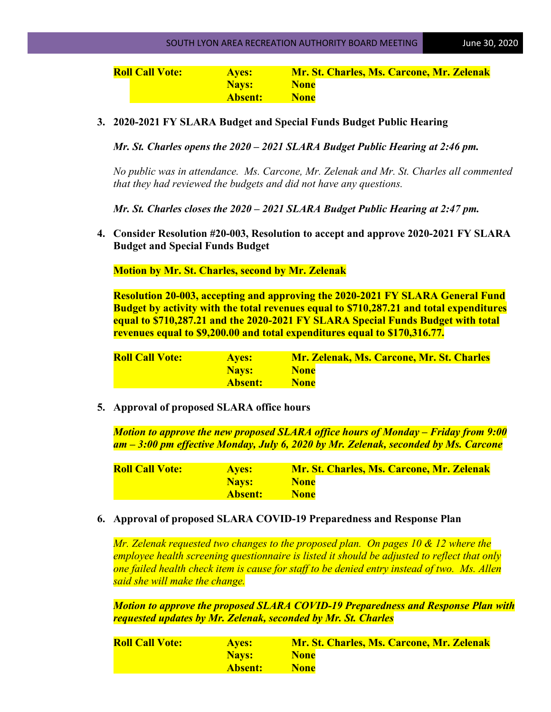**Roll Call Vote: Ayes: Mr. St. Charles, Ms. Carcone, Mr. Zelenak Nays:** None **Absent: None**

**3. 2020-2021 FY SLARA Budget and Special Funds Budget Public Hearing** 

*Mr. St. Charles opens the 2020 – 2021 SLARA Budget Public Hearing at 2:46 pm.* 

*No public was in attendance. Ms. Carcone, Mr. Zelenak and Mr. St. Charles all commented that they had reviewed the budgets and did not have any questions.* 

*Mr. St. Charles closes the 2020 – 2021 SLARA Budget Public Hearing at 2:47 pm.* 

**4. Consider Resolution #20-003, Resolution to accept and approve 2020-2021 FY SLARA Budget and Special Funds Budget**

**Motion by Mr. St. Charles, second by Mr. Zelenak**

**Resolution 20-003, accepting and approving the 2020-2021 FY SLARA General Fund Budget by activity with the total revenues equal to \$710,287.21 and total expenditures equal to \$710,287.21 and the 2020-2021 FY SLARA Special Funds Budget with total revenues equal to \$9,200.00 and total expenditures equal to \$170,316.77.**

| <b>Roll Call Vote:</b> | <b>Ayes:</b> | <b>Mr. Zelenak, Ms. Carcone, Mr. St. Charles</b> |
|------------------------|--------------|--------------------------------------------------|
|                        | Navs:        | <b>None</b>                                      |
|                        | Absent:      | <b>None</b>                                      |

**5. Approval of proposed SLARA office hours**

*Motion to approve the new proposed SLARA office hours of Monday – Friday from 9:00 am – 3:00 pm effective Monday, July 6, 2020 by Mr. Zelenak, seconded by Ms. Carcone*

| <b>Roll Call Vote:</b> | <b>Aves:</b> | <b>Mr. St. Charles, Ms. Carcone, Mr. Zelenak</b> |
|------------------------|--------------|--------------------------------------------------|
|                        | Navs:        | <b>None</b>                                      |
|                        | Absent:      | <b>None</b>                                      |

## **6. Approval of proposed SLARA COVID-19 Preparedness and Response Plan**

*Mr. Zelenak requested two changes to the proposed plan. On pages 10 & 12 where the employee health screening questionnaire is listed it should be adjusted to reflect that only one failed health check item is cause for staff to be denied entry instead of two. Ms. Allen said she will make the change.*

*Motion to approve the proposed SLARA COVID-19 Preparedness and Response Plan with requested updates by Mr. Zelenak, seconded by Mr. St. Charles*

| <b>Roll Call Vote:</b> | <b>Aves:</b>   | <b>Mr. St. Charles, Ms. Carcone, Mr. Zelenak</b> |
|------------------------|----------------|--------------------------------------------------|
|                        | <b>Navs:</b>   | <b>None</b>                                      |
|                        | <b>Absent:</b> | <b>None</b>                                      |